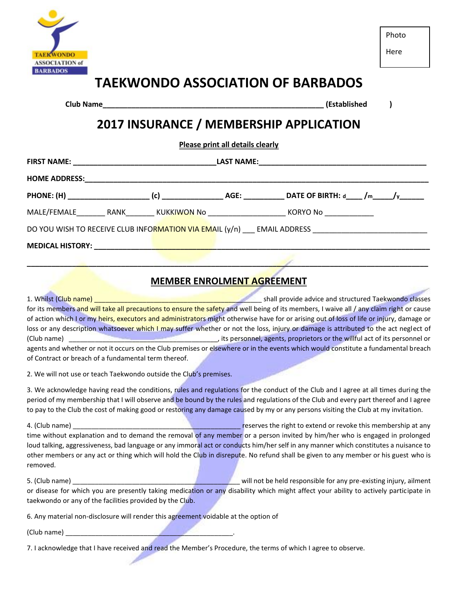

Here

# **TAEKWONDO ASSOCIATION OF BARBADOS**

**Club Name\_\_\_\_\_\_\_\_\_\_\_\_\_\_\_\_\_\_\_\_\_\_\_\_\_\_\_\_\_\_\_\_\_\_\_\_\_\_\_\_\_\_\_\_\_\_\_\_\_\_\_\_\_\_ (Established )**

## **2017 INSURANCE / MEMBERSHIP APPLICATION**

**Please print all details clearly**

|                              |  | DATE OF BIRTH: d_____ /m______/y_______                                                             |  |  |
|------------------------------|--|-----------------------------------------------------------------------------------------------------|--|--|
| MALE/FEMALE RANK KUKKIWON No |  | KORYO No _____________                                                                              |  |  |
|                              |  | DO YOU WISH TO RECEIVE CLUB INFORMATION VIA EMAIL (y/n) ____ EMAIL ADDRESS ________________________ |  |  |
|                              |  |                                                                                                     |  |  |

#### **MEMBER ENROLMENT AGREEMENT**

**\_\_\_\_\_\_\_\_\_\_\_\_\_\_\_\_\_\_\_\_\_\_\_\_\_\_\_\_\_\_\_\_\_\_\_\_\_\_\_\_\_\_\_\_\_\_\_\_\_\_\_\_\_\_\_\_\_\_\_\_\_\_\_\_\_\_\_\_\_\_\_\_\_\_\_\_\_\_\_\_\_\_\_\_\_\_\_\_\_\_\_\_\_\_\_\_\_\_**

1. Whilst (Club name) \_\_\_\_\_\_\_\_\_\_\_\_\_\_\_\_\_\_\_\_\_\_\_\_\_\_\_\_\_\_\_\_\_\_\_\_\_\_\_\_\_\_\_\_\_ shall provide advice and structured Taekwondo classes for its members and will take all precautions to ensure the safety and well being of its members, I waive all / any claim right or cause of action which I or my heirs, executors and administrators might otherwise have for or arising out of loss of life or injury, damage or loss or any description whatsoever which I may suffer whether or not the loss, injury or damage is attributed to the act neglect of (Club name) \_\_\_\_\_\_\_\_\_\_\_\_\_\_\_\_\_\_\_\_\_\_\_\_\_\_\_\_\_\_\_\_\_\_\_\_\_\_\_\_, its personnel, agents, proprietors or the willful act of its personnel or agents and whether or not it occurs on the Club premises or elsewhere or in the events which would constitute a fundamental breach of Contract or breach of a fundamental term thereof.

2. We will not use or teach Taekwondo outside the Club's premises.

3. We acknowledge having read the conditions, rules and regulations for the conduct of the Club and I agree at all times during the period of my membership that I will observe and be bound by the rules and regulations of the Club and every part thereof and I agree to pay to the Club the cost of making good or restoring any damage caused by my or any persons visiting the Club at my invitation.

4. (Club name) \_\_\_\_\_\_\_\_\_\_\_\_\_\_\_\_\_\_\_\_\_\_\_\_\_\_\_\_\_\_\_\_\_\_\_\_\_\_\_\_\_\_\_\_\_ reserves the right to extend or revoke this membership at any time without explanation and to demand the removal of any member or a person invited by him/her who is engaged in prolonged loud talking, aggressiveness, bad language or any immoral act or conducts him/her self in any manner which constitutes a nuisance to other members or any act or thing which will hold the Club in disrepute. No refund shall be given to any member or his guest who is removed.

5. (Club name) **Example 1** and the set of the set of the will not be held responsible for any pre-existing injury, ailment or disease for which you are presently taking medication or any disability which might affect your ability to actively participate in taekwondo or any of the facilities provided by the Club.

6. Any material non-disclosure will render this agreement voidable at the option of

(Club name) \_\_\_\_\_\_\_\_\_\_\_\_\_\_\_\_\_\_\_\_\_\_\_\_\_\_\_\_\_\_\_\_\_\_\_\_\_\_\_\_\_\_\_\_\_.

7. I acknowledge that I have received and read the Member's Procedure, the terms of which I agree to observe.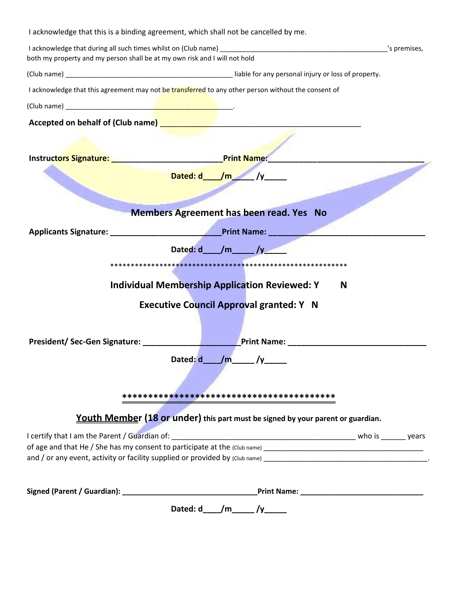|                                                                                                                 | I acknowledge that this is a binding agreement, which shall not be cancelled by me.                                 |              |
|-----------------------------------------------------------------------------------------------------------------|---------------------------------------------------------------------------------------------------------------------|--------------|
| both my property and my person shall be at my own risk and I will not hold                                      |                                                                                                                     | 's premises, |
|                                                                                                                 |                                                                                                                     |              |
|                                                                                                                 | I acknowledge that this agreement may not be transferred to any other person without the consent of                 |              |
|                                                                                                                 |                                                                                                                     |              |
|                                                                                                                 | Accepted on behalf of (Club name) <b>Accepted on behalf</b> of (Club name) <b>Accepted</b> on behalf of (Club name) |              |
| Instructors Signature: Management Control of the Management Control of the Management Control of the Management | <b>Print Name:</b>                                                                                                  |              |
|                                                                                                                 | Dated: $d_$ /m /y                                                                                                   |              |
|                                                                                                                 | <b>Members Agreement has been read. Yes No</b>                                                                      |              |
|                                                                                                                 | the company of the company of                                                                                       |              |
|                                                                                                                 | Dated: d____/m______/y___                                                                                           |              |
|                                                                                                                 | <b>Individual Membership Application Reviewed: Y</b><br>N                                                           |              |
|                                                                                                                 | <b>Executive Council Approval granted: Y N</b>                                                                      |              |
|                                                                                                                 | <b>Print Name: Example 2018</b>                                                                                     |              |
|                                                                                                                 | Dated: $d$ /m /y /                                                                                                  |              |
|                                                                                                                 |                                                                                                                     |              |
|                                                                                                                 | Youth Member (18 or under) this part must be signed by your parent or guardian.                                     |              |
|                                                                                                                 |                                                                                                                     |              |
|                                                                                                                 |                                                                                                                     |              |
|                                                                                                                 | Dated: $d_{1}/m_{2}/y_{2}/y_{2}/x$                                                                                  |              |